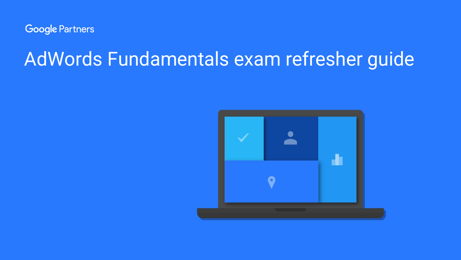

# AdWords Fundamentals exam refresher guide

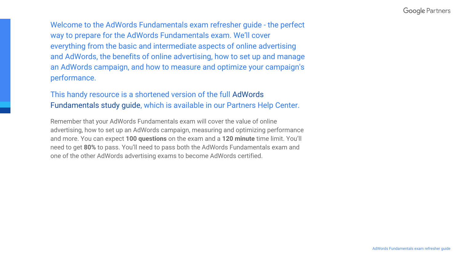Welcome to the AdWords Fundamentals exam refresher guide - the perfect way to prepare for the AdWords Fundamentals exam. We'll cover everything from the basic and intermediate aspects of online advertising and AdWords, the benefits of online advertising, how to set up and manage an AdWords campaign, and how to measure and optimize your campaign's performance.

## This handy resource is a shortened version of the full [AdWords](https://support.google.com/partners/answer/6123881)  [Fundamentals study guide](https://support.google.com/partners/answer/6123881), which is available in our Partners Help Center.

Remember that your AdWords Fundamentals exam will cover the value of online advertising, how to set up an AdWords campaign, measuring and optimizing performance and more. You can expect **100 questions** on the exam and a **120 minute** time limit. You'll need to get **80%** to pass. You'll need to pass both the AdWords Fundamentals exam and one of the other AdWords advertising exams to become AdWords certified.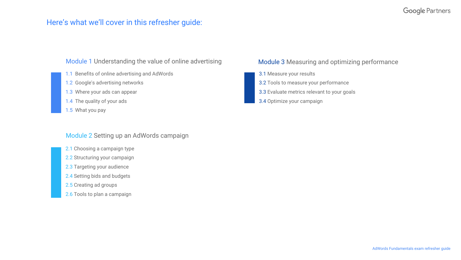## **Google Partners**

## Here's what we'll cover in this refresher guide:

## [Module 1](#page-3-0) Understanding the value of online advertising

- [1.1](#page-4-0) Benefits of online advertising and AdWords
- [1.2](#page-4-0) Google's advertising networks
- [1.3](#page-5-0) Where your ads can appear
- [1.4](#page-6-0) The quality of your ads
- [1.5](#page-6-0) What you pay

## [Module 2](#page-7-0) Setting up an AdWords campaign

- [2.1](#page-8-0) Choosing a campaign type
- [2.2](#page-8-0) Structuring your campaign
- [2.3](#page-9-0) Targeting your audience
- [2.4](#page-10-0) Setting bids and budgets
- [2.5](#page-11-0) Creating ad groups
- [2.6](#page-12-0) Tools to plan a campaign

## [Module 3](#page-13-0) Measuring and optimizing performance

- [3.1](#page-14-0) Measure your results
- [3.2](#page-14-0) Tools to measure your performance
- [3.3](#page-15-0) Evaluate metrics relevant to your goals
- [3.4](#page-16-0) Optimize your campaign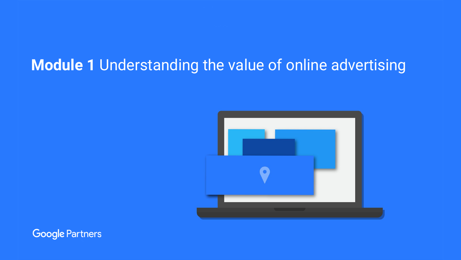## <span id="page-3-0"></span> **Module 1** Understanding the value of online advertising



**Google Partners**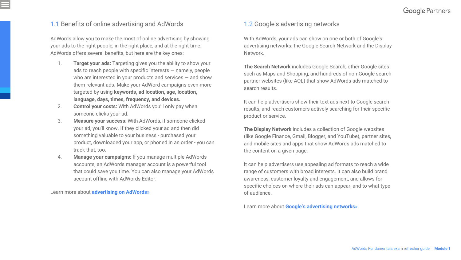## <span id="page-4-0"></span>1.1 Benefits of online advertising and AdWords

AdWords allow you to make the most of online advertising by showing your ads to the right people, in the right place, and at the right time. AdWords offers several benefits, but here are the key ones:

- 1. **Target your ads:** Targeting gives you the ability to show your ads to reach people with specific interests — namely, people who are interested in your products and services — and show them relevant ads. Make your AdWord campaigns even more targeted by using **keywords, ad location, age, location, language, days, times, frequency, and devices.**
- 2. **Control your costs:** With AdWords you'll only pay when someone clicks your ad.
- 3. **Measure your success**: With AdWords, if someone clicked your ad, you'll know. If they clicked your ad and then did something valuable to your business - purchased your product, downloaded your app, or phoned in an order - you can track that, too.
- 4. **Manage your campaigns:** If you manage multiple AdWords accounts, an AdWords manager account is a powerful tool that could save you time. You can also manage your AdWords account offline with AdWords Editor.

Learn more about **[advertising on AdWords»](https://support.google.com/partners/answer/6123875)**

## 1.2 Google's advertising networks

With AdWords, your ads can show on one or both of Google's advertising networks: the Google Search Network and the Display Network.

**The Search Network** includes Google Search, other Google sites such as Maps and Shopping, and hundreds of non-Google search partner websites (like AOL) that show AdWords ads matched to search results.

It can help advertisers show their text ads next to Google search results, and reach customers actively searching for their specific product or service.

**The Display Network** includes a collection of Google websites (like Google Finance, Gmail, Blogger, and YouTube), partner sites, and mobile sites and apps that show AdWords ads matched to the content on a given page.

It can help advertisers use appealing ad formats to reach a wide range of customers with broad interests. It can also build brand awareness, customer loyalty and engagement, and allows for specific choices on where their ads can appear, and to what type of audience.

Learn more about **[Google's advertising networks»](https://support.google.com/partners/answer/6172279)**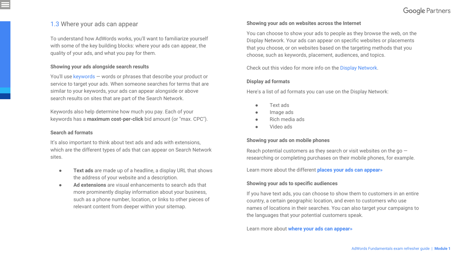## <span id="page-5-0"></span>1.3 Where your ads can appear

To understand how AdWords works, you'll want to familiarize yourself with some of the key building blocks: where your ads can appear, the quality of your ads, and what you pay for them.

#### **Showing your ads alongside search results**

You'll use [keywords](https://support.google.com/adwords/answer/6323) — words or phrases that describe your product or service to target your ads. When someone searches for terms that are similar to your keywords, your ads can appear alongside or above search results on sites that are part of the Search Network.

Keywords also help determine how much you pay. Each of your keywords has a **[maximum cost-per-click](https://support.google.com/adwords/answer/6326)** bid amount (or "max. CPC").

#### **Search ad formats**

It's also important to think about [text ads and ads with extensions,](https://support.google.com/partners/answer/6172280?hl=en-GB&ref_topic=6123873) which are the different types of ads that can appear on Search Network sites.

- **Text ads** are made up of a headline, a display URL that shows the address of your website and a description.
- **Ad extensions** are visual enhancements to search ads that more prominently display information about your business, such as a phone number, location, or links to other pieces of relevant content from deeper within your sitemap.

### **Showing your ads on websites across the Internet**

You can choose to show your ads to people as they browse the web, on the Display Network. Your ads can appear on specific websites or placements that you choose, or on websites based on the targeting methods that you choose, such as keywords, placement, audiences, and topics.

Check out this video for more info on the [Display Network](https://www.youtube.com/watch?v=omXFdKYLRW0&feature=youtu.be).

## **Display ad formats**

Here's a list of ad formats you can use on the Display Network:

- Text ads
- Image ads
- Rich media ads
- Video ads

## **Showing your ads on mobile phones**

Reach potential customers as they search or visit websites on the go  $$ researching or completing purchases on their mobile phones, for example.

#### Learn more about the different **[places your ads can appear»](https://support.google.com/partners/answer/6172280)**

## **Showing your ads to specific audiences**

If you have text ads, you can choose to show them to customers in an entire country, a certain geographic location, and even to customers who use names of locations in their searches. You can also target your campaigns to the languages that your potential customers speak.

[Learn more about](https://support.google.com/partners/answer/6172280) **[where your ads can appear»](https://support.google.com/partners/answer/6172280)**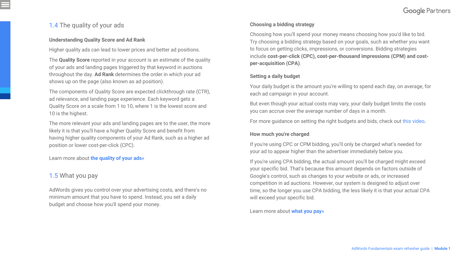## <span id="page-6-0"></span>1.4 The quality of your ads

## **Understanding Quality Score and Ad Rank**

Higher quality ads can lead to lower prices and better ad positions.

The **[Quality Score](https://support.google.com/adwords/answer/140351)** reported in your account is an estimate of the quality of your ads and landing pages triggered by that keyword in auctions throughout the day. **[Ad Rank](https://support.google.com/adwords/answer/1752122)** determines the order in which your ad shows up on the page (also known as ad position).

The components of Quality Score are expected clickthrough rate (CTR), ad relevance, and landing page experience. Each keyword gets a Quality Score on a scale from 1 to 10, where 1 is the lowest score and 10 is the highest.

The more relevant your ads and landing pages are to the user, the more likely it is that you'll have a higher Quality Score and benefit from having higher quality components of your Ad Rank, such as a higher ad position or lower cost-per-click (CPC).

Learn more about **[the quality of your ads](https://support.google.com/partners/answer/6172293)»**

## 1.5 What you pay

AdWords gives you control over your advertising costs, and there's no minimum amount that you have to spend. Instead, you set a daily budget and choose how you'll spend your money.

## **Choosing a bidding strategy**

Choosing how you'll spend your money means choosing how you'd like to bid. Try choosing a bidding strategy based on your goals, such as whether you want to focus on getting clicks, impressions, or conversions. Bidding strategies include **cost-per-click (CPC), cost-per-thousand impressions (CPM) and costper-acquisition (CPA)**.

## **Setting a daily budget**

Your daily budget is the amount you're willing to spend each day, on average, for each ad campaign in your account.

But even though your actual costs may vary, your daily budget limits the costs you can accrue over the average number of days in a month.

For more guidance on setting the right budgets and bids, check out [this video](https://youtu.be/saaIn1JR0CU).

## **How much you're charged**

If you're using CPC or CPM bidding, you'll only be charged what's needed for your ad to appear higher than the advertiser immediately below you.

If you're using CPA bidding, the actual amount you'll be charged might exceed your specific bid. That's because this amount depends on factors outside of Google's control, such as changes to your website or ads, or increased competition in ad auctions. However, our system is designed to adjust over time, so the longer you use CPA bidding, the less likely it is that your actual CPA will exceed your specific bid.

## Learn more about **[what you pay](https://support.google.com/partners/answer/6172290)»**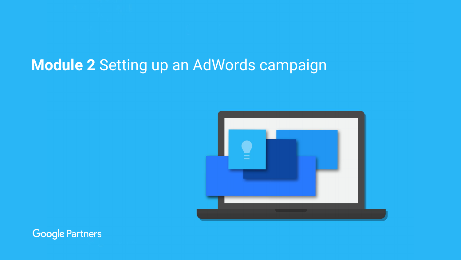## <span id="page-7-0"></span> **Module 2** Setting up an AdWords campaign



**Google Partners**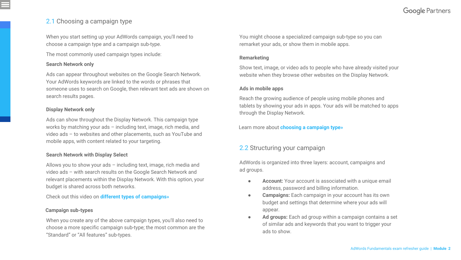## **Google Partners**

## <span id="page-8-0"></span>2.1 Choosing a campaign type

When you start setting up your AdWords campaign, you'll need to choose a campaign type and a campaign sub-type.

The most commonly used campaign types include:

### **Search Network only**

Ads can appear throughout websites on the Google Search Network. Your AdWords keywords are linked to the words or phrases that someone uses to search on Google, then relevant text ads are shown on search results pages.

### **Display Network only**

Ads can show throughout the Display Network. This campaign type works by matching your ads – including text, image, rich media, and video ads – to websites and other placements, such as YouTube and mobile apps, with content related to your targeting.

## **Search Network with Display Select**

Allows you to show your ads – including text, image, rich media and video ads – with search results on the Google Search Network and relevant placements within the Display Network. With this option, your budget is shared across both networks.

Check out this video on **[different types of campaigns](https://www.youtube.com/watch?v=S-g86ckiMBA)»**

### **Campaign sub-types**

When you create any of the above campaign types, you'll also need to choose a more specific campaign sub-type; the most common are the "Standard" or "All features" sub-types.

You might choose a specialized campaign sub-type so you can remarket your ads, or show them in mobile apps.

### **Remarketing**

Show text, image, or video ads to people who have already visited your website when they browse other websites on the Display Network.

### **Ads in mobile apps**

Reach the growing audience of people using mobile phones and tablets by showing your ads in apps. Your ads will be matched to apps through the Display Network.

Learn more about **[choosing a campaign type»](https://support.google.com/partners/answer/6123890)**

## 2.2 Structuring your campaign

AdWords is organized into three layers: account, campaigns and ad groups.

- **Account:** Your account is associated with a unique email address, password and billing information.
- **Campaigns:** Each campaign in your account has its own budget and settings that determine where your ads will appear.
- **Ad groups:** Each ad group within a campaign contains a set of similar ads and keywords that you want to trigger your ads to show.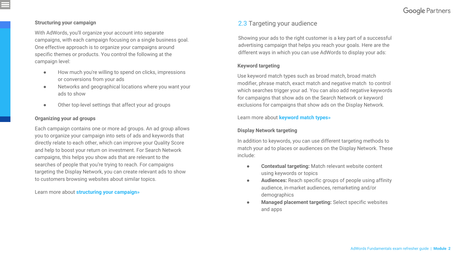## <span id="page-9-0"></span>**Structuring your campaign**

With AdWords, you'll organize your account into separate campaigns, with each campaign focusing on a single business goal. One effective approach is to organize your campaigns around specific themes or products. You control the following at the campaign level:

- How much you're willing to spend on clicks, impressions or conversions from your ads
- Networks and geographical locations where you want your ads to show
- Other top-level settings that affect your ad groups

## **Organizing your ad groups**

Each campaign contains one or more ad groups. An ad group allows you to organize your campaign into sets of ads and keywords that directly relate to each other, which can improve your Quality Score and help to boost your return on investment. For Search Network campaigns, this helps you show ads that are relevant to the searches of people that you're trying to reach. For campaigns targeting the Display Network, you can create relevant ads to show to customers browsing websites about similar topics.

Learn more about **[structuring your campaign](https://support.google.com/partners/answer/6172648)»**

## 2.3 Targeting your audience

Showing your ads to the right customer is a key part of a successful advertising campaign that helps you reach your goals. Here are the different ways in which you can use AdWords to display your ads:

## **Keyword targeting**

Use keyword match types such as broad match, broad match modifier, phrase match, exact match and negative match to control which searches trigger your ad. You can also add negative keywords for campaigns that show ads on the Search Network or keyword exclusions for campaigns that show ads on the Display Network.

## Learn more about **[keyword match types](https://support.google.com/partners/answer/6172649)»**

## **Display Network targeting**

In addition to keywords, you can use different targeting methods to match your ad to places or audiences on the Display Network. These include:

- **Contextual targeting:** Match relevant website content using keywords or topics
- **Audiences:** Reach specific groups of people using affinity audience, in-market audiences, remarketing and/or demographics
- **Managed placement targeting:** Select specific websites and apps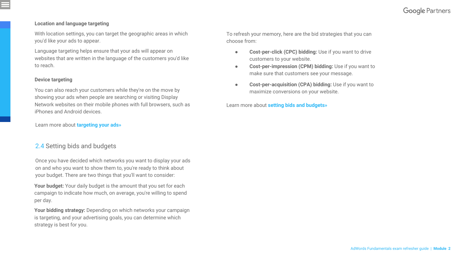## <span id="page-10-0"></span>**Location and language targeting**

With location settings, you can target the geographic areas in which you'd like your ads to appear.

Language targeting helps ensure that your ads will appear on websites that are written in the language of the customers you'd like to reach.

## **Device targeting**

You can also reach your customers while they're on the move by showing your ads when people are searching or visiting Display Network websites on their mobile phones with full browsers, such as iPhones and Android devices.

## Learn more about **[targeting your ads](https://support.google.com/adwords/answer/1704368)»**

## 2.4 Setting bids and budgets

Once you have decided which networks you want to display your ads on and who you want to show them to, you're ready to think about your budget. There are two things that you'll want to consider:

Your budget: Your daily budget is the amount that you set for each campaign to indicate how much, on average, you're willing to spend per day.

**Your bidding strategy:** Depending on which networks your campaign is targeting, and your advertising goals, you can determine which strategy is best for you.

To refresh your memory, here are the bid strategies that you can choose from:

- **Cost-per-click (CPC) bidding:** Use if you want to drive customers to your website.
- **Cost-per-impression (CPM) bidding:** Use if you want to make sure that customers see your message.
- **Cost-per-acquisition (CPA) bidding:** Use if you want to maximize conversions on your website.

Learn more about **[setting bids and budgets](https://support.google.com/partners/answer/6172624)»**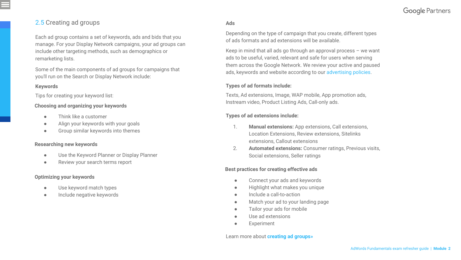## <span id="page-11-0"></span>2.5 Creating ad groups

Each ad group contains a set of keywords, ads and bids that you manage. For your Display Network campaigns, your ad groups can include other targeting methods, such as demographics or remarketing lists.

Some of the main components of ad groups for campaigns that you'll run on the Search or Display Network include:

## **Keywords**

Tips for creating your keyword list:

#### **Choosing and organizing your keywords**

- Think like a customer
- Align your keywords with your goals
- Group similar keywords into themes

#### **Researching new keywords**

- Use the Keyword Planner or Display Planner
- Review your search terms report

## **Optimizing your keywords**

- Use keyword match types
- Include negative keywords

## **Ads**

Depending on the type of campaign that you create, different types of ads formats and ad extensions will be available.

Keep in mind that all ads go through an approval process – we want ads to be useful, varied, relevant and safe for users when serving them across the Google Network. We review your active and paused ads, keywords and website according to our [advertising policies.](https://support.google.com/adwordspolicy/)

### **Types of ad formats include:**

Texts, Ad extensions, Image, WAP mobile, App promotion ads, Instream video, Product Listing Ads, Call-only ads.

#### **Types of ad extensions include:**

- 1. **Manual extensions:** App extensions, Call extensions, Location Extensions, Review extensions, Sitelinks extensions, Callout extensions
- 2. **Automated extensions:** Consumer ratings, Previous visits, Social extensions, Seller ratings

## **Best practices for creating effective ads**

- Connect your ads and keywords
- Highlight what makes you unique
- Include a call-to-action
- Match your ad to your landing page
- Tailor your ads for mobile
- Use ad extensions
- **Experiment**

#### Learn more about **[creating ad groups»](https://support.google.com/partners/answer/6172645)**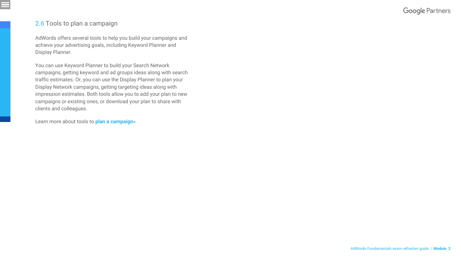## **Google Partners**

## <span id="page-12-0"></span>2.6 Tools to plan a campaign

AdWords offers several tools to help you build your campaigns and achieve your advertising goals, including Keyword Planner and Display Planner.

You can use Keyword Planner to build your Search Network campaigns, getting keyword and ad groups ideas along with search traffic estimates. Or, you can use the Display Planner to plan your Display Network campaigns, getting targeting ideas along with impression estimates. Both tools allow you to add your plan to new campaigns or existing ones, or download your plan to share with clients and colleagues.

Learn more about tools to **[plan a campaign»](https://support.google.com/partners/answer/6172646)**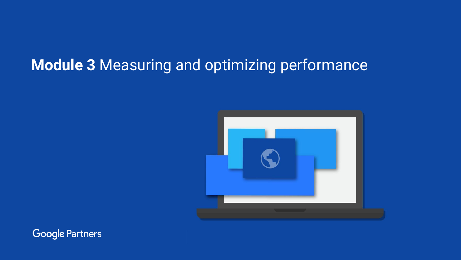## <span id="page-13-0"></span> **Module 3** Measuring and optimizing performance



**Google Partners**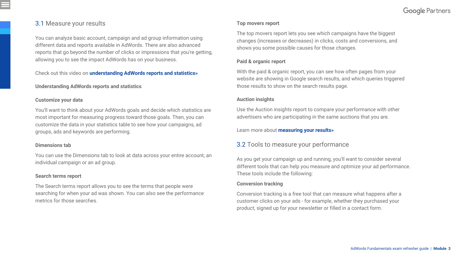## <span id="page-14-0"></span>3.1 Measure your results

You can analyze basic account, campaign and ad group information using different data and reports available in AdWords. There are also advanced reports that go beyond the number of clicks or impressions that you're getting, allowing you to see the impact AdWords has on your business.

Check out this video on **[understanding AdWords reports and statistics](https://support.google.com/partners/answer/6172626)»**

#### **Understanding AdWords reports and statistics**

#### **Customize your data**

You'll want to think about your AdWords goals and decide which statistics are most important for measuring progress toward those goals. Then, you can customize the data in your statistics table to see how your campaigns, ad groups, ads and keywords are performing.

## **Dimensions tab**

You can use the Dimensions tab to look at data across your entire account, an individual campaign or an ad group.

#### **Search terms report**

The Search terms report allows you to see the terms that people were searching for when your ad was shown. You can also see the performance metrics for those searches.

## **Top movers report**

The top movers report lets you see which campaigns have the biggest changes (increases or decreases) in clicks, costs and conversions, and shows you some possible causes for those changes.

## **Paid & organic report**

With the paid & organic report, you can see how often pages from your website are showing in Google search results, and which queries triggered those results to show on the search results page.

## **Auction insights**

Use the Auction insights report to compare your performance with other advertisers who are participating in the same auctions that you are.

Learn more about **[measuring your results](https://support.google.com/partners/answer/6172626)»**

## 3.2 Tools to measure your performance

As you get your campaign up and running, you'll want to consider several different tools that can help you measure and optimize your ad performance. These tools include the following:

## **Conversion tracking**

Conversion tracking is a free tool that can measure what happens after a customer clicks on your ads - for example, whether they purchased your product, signed up for your newsletter or filled in a contact form.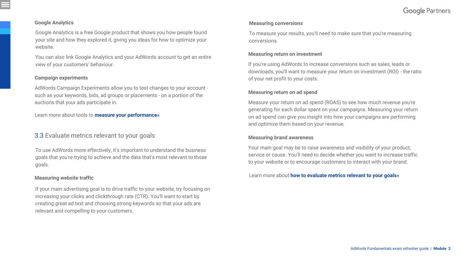## <span id="page-15-0"></span>**Google Analytics**

Google Analytics is a free Google product that shows you how people found your site and how they explored it, giving you ideas for how to optimize your website.

You can also link Google Analytics and your AdWords account to get an entire view of your customers' behaviour.

#### **Campaign experiments**

AdWords Campaign Experiments allow you to test changes to your account such as your keywords, bids, ad groups or placements - on a portion of the auctions that your ads participate in.

Learn more about tools to **[measure your performance](https://support.google.com/partners/answer/6172662)»**

## 3.3 Evaluate metrics relevant to your goals

To use AdWords more effectively, it's important to understand the business goals that you're trying to achieve and the data that's most relevant to those goals.

## **Measuring website traffic**

If your main advertising goal is to drive traffic to your website, try focusing on increasing your clicks and clickthrough rate (CTR). You'll want to start by creating great ad text and choosing strong keywords so that your ads are relevant and compelling to your customers.

#### **Measuring conversions**

To measure your results, you'll need to make sure that you're measuring conversions.

#### **Measuring return on investment**

If you're using AdWords to increase conversions such as sales, leads or downloads, you'll want to measure your return on investment (ROI) - the ratio of your net profit to your costs.

### **Measuring return on ad spend**

Measure your return on ad spend (ROAS) to see how much revenue you're generating for each dollar spent on your campaigns. Measuring your return on ad spend can give you insight into how your campaigns are performing and optimize them based on your revenue.

#### **Measuring brand awareness**

Your main goal may be to raise awareness and visibility of your product, service or cause. You'll need to decide whether you want to increase traffic to your website or to encourage customers to interact with your brand.

Learn more about **[how to evaluate metrics relevant to your goals](https://support.google.com/partners/answer/6172653)»**